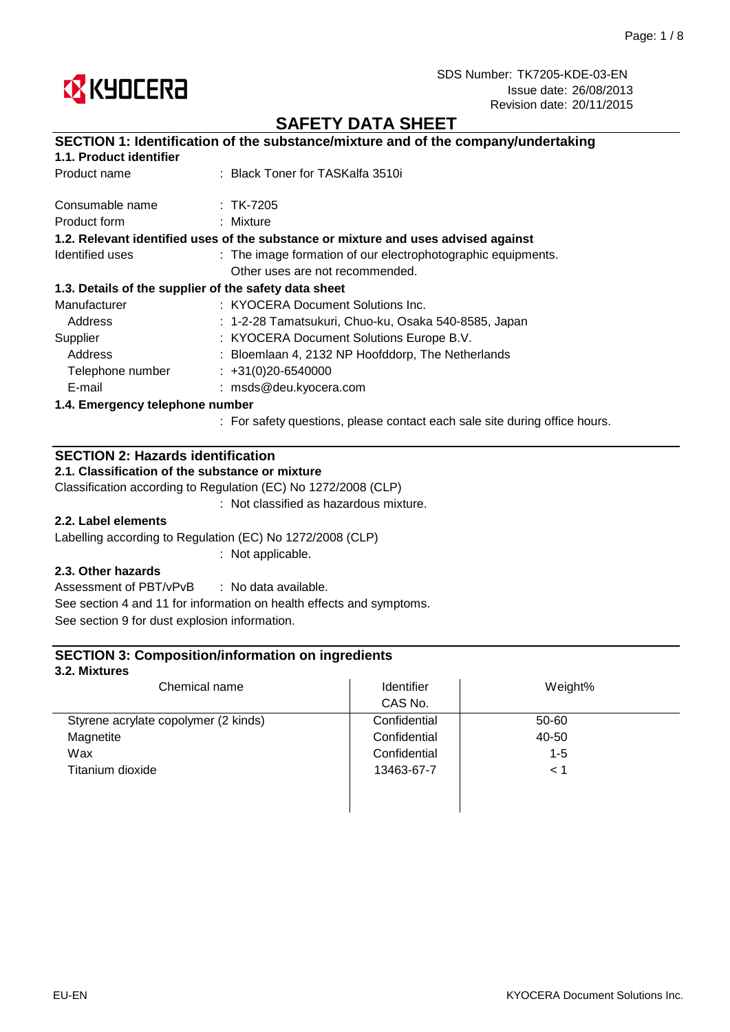

# **SAFETY DATA SHEET**

# **SECTION 1: Identification of the substance/mixture and of the company/undertaking**

## **1.1. Product identifier**

| Product name                    | : Black Toner for TASKalfa 3510i                                                                               |
|---------------------------------|----------------------------------------------------------------------------------------------------------------|
| Consumable name                 | $:$ TK-7205                                                                                                    |
| Product form                    | : Mixture                                                                                                      |
|                                 | 1.2. Relevant identified uses of the substance or mixture and uses advised against                             |
| Identified uses                 | : The image formation of our electrophotographic equipments.                                                   |
|                                 | Other uses are not recommended.                                                                                |
|                                 | 1.3. Details of the supplier of the safety data sheet                                                          |
| Manufacturer                    | : KYOCERA Document Solutions Inc.                                                                              |
| Address                         | : 1-2-28 Tamatsukuri, Chuo-ku, Osaka 540-8585, Japan                                                           |
| Supplier                        | : KYOCERA Document Solutions Europe B.V.                                                                       |
| Address                         | : Bloemlaan 4, 2132 NP Hoofddorp, The Netherlands                                                              |
| Telephone number                | $\div$ +31(0)20-6540000                                                                                        |
| E-mail                          | : msds@deu.kyocera.com                                                                                         |
| 1.4. Emergency telephone number |                                                                                                                |
|                                 | n a Especial de la construcción de la construcción de la construcción de la construcción de la construcción de |

: For safety questions, please contact each sale site during office hours.

# **SECTION 2: Hazards identification**

## **2.1. Classification of the substance or mixture**

Classification according to Regulation (EC) No 1272/2008 (CLP)

: Not classified as hazardous mixture.

### **2.2. Label elements**

Labelling according to Regulation (EC) No 1272/2008 (CLP)

: Not applicable.

## **2.3. Other hazards**

: No data available. See section 9 for dust explosion information. Assessment of PBT/vPvB See section 4 and 11 for information on health effects and symptoms.

## **SECTION 3: Composition/information on ingredients**

#### **3.2. Mixtures**

| Chemical name                        | Identifier   | Weight% |
|--------------------------------------|--------------|---------|
|                                      | CAS No.      |         |
| Styrene acrylate copolymer (2 kinds) | Confidential | 50-60   |
| Magnetite                            | Confidential | 40-50   |
| Wax                                  | Confidential | $1 - 5$ |
| Titanium dioxide                     | 13463-67-7   | < 1     |
|                                      |              |         |
|                                      |              |         |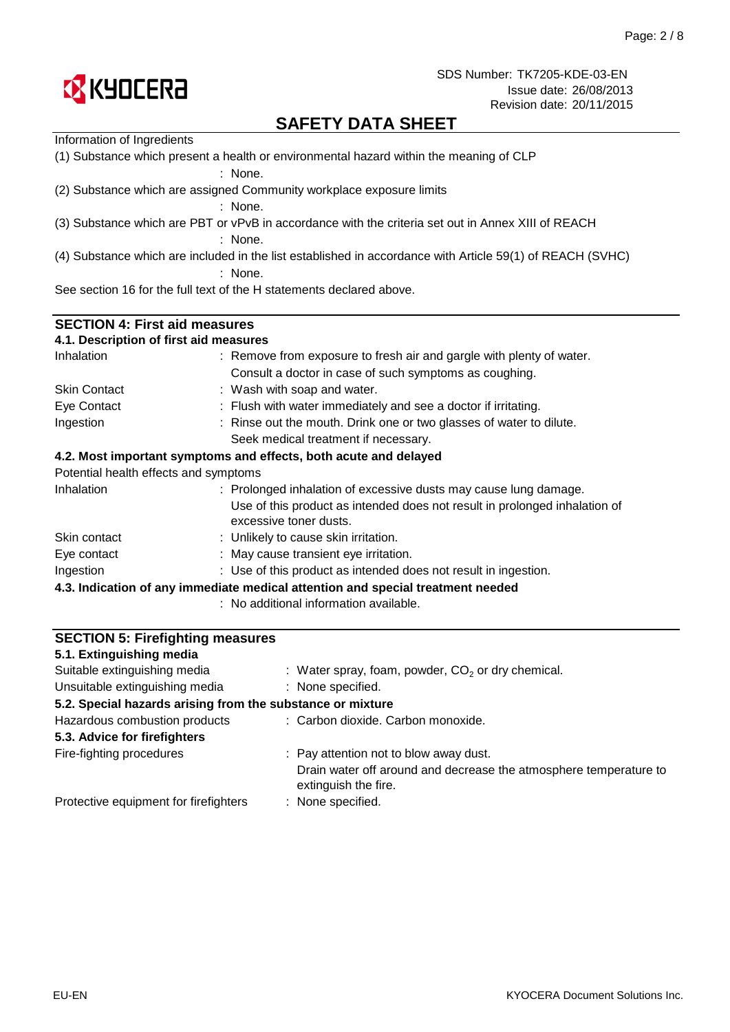

# **SAFETY DATA SHEET**

| Information of Ingredients                                                                          |                                                                                                                                                                          |  |  |  |  |
|-----------------------------------------------------------------------------------------------------|--------------------------------------------------------------------------------------------------------------------------------------------------------------------------|--|--|--|--|
| (1) Substance which present a health or environmental hazard within the meaning of CLP<br>$:$ None. |                                                                                                                                                                          |  |  |  |  |
|                                                                                                     | (2) Substance which are assigned Community workplace exposure limits                                                                                                     |  |  |  |  |
|                                                                                                     | $:$ None.                                                                                                                                                                |  |  |  |  |
|                                                                                                     | (3) Substance which are PBT or vPvB in accordance with the criteria set out in Annex XIII of REACH                                                                       |  |  |  |  |
|                                                                                                     | $:$ None.                                                                                                                                                                |  |  |  |  |
|                                                                                                     | (4) Substance which are included in the list established in accordance with Article 59(1) of REACH (SVHC)<br>$:$ None.                                                   |  |  |  |  |
|                                                                                                     | See section 16 for the full text of the H statements declared above.                                                                                                     |  |  |  |  |
| <b>SECTION 4: First aid measures</b>                                                                |                                                                                                                                                                          |  |  |  |  |
| 4.1. Description of first aid measures                                                              |                                                                                                                                                                          |  |  |  |  |
| Inhalation                                                                                          | : Remove from exposure to fresh air and gargle with plenty of water.                                                                                                     |  |  |  |  |
|                                                                                                     | Consult a doctor in case of such symptoms as coughing.                                                                                                                   |  |  |  |  |
| <b>Skin Contact</b>                                                                                 | : Wash with soap and water.                                                                                                                                              |  |  |  |  |
| Eye Contact                                                                                         | : Flush with water immediately and see a doctor if irritating.                                                                                                           |  |  |  |  |
| Ingestion                                                                                           | : Rinse out the mouth. Drink one or two glasses of water to dilute.                                                                                                      |  |  |  |  |
|                                                                                                     | Seek medical treatment if necessary.                                                                                                                                     |  |  |  |  |
|                                                                                                     | 4.2. Most important symptoms and effects, both acute and delayed                                                                                                         |  |  |  |  |
| Potential health effects and symptoms                                                               |                                                                                                                                                                          |  |  |  |  |
| Inhalation                                                                                          | : Prolonged inhalation of excessive dusts may cause lung damage.<br>Use of this product as intended does not result in prolonged inhalation of<br>excessive toner dusts. |  |  |  |  |
| Skin contact                                                                                        | : Unlikely to cause skin irritation.                                                                                                                                     |  |  |  |  |
| Eye contact                                                                                         | : May cause transient eye irritation.                                                                                                                                    |  |  |  |  |
| Ingestion                                                                                           | : Use of this product as intended does not result in ingestion.                                                                                                          |  |  |  |  |
|                                                                                                     | 4.3. Indication of any immediate medical attention and special treatment needed                                                                                          |  |  |  |  |
|                                                                                                     | : No additional information available.                                                                                                                                   |  |  |  |  |

| <b>SECTION 5: Firefighting measures</b>                    |                                                                                           |  |  |
|------------------------------------------------------------|-------------------------------------------------------------------------------------------|--|--|
| 5.1. Extinguishing media                                   |                                                                                           |  |  |
| Suitable extinguishing media                               | : Water spray, foam, powder, $CO2$ or dry chemical.                                       |  |  |
| Unsuitable extinguishing media                             | : None specified.                                                                         |  |  |
| 5.2. Special hazards arising from the substance or mixture |                                                                                           |  |  |
| Hazardous combustion products                              | : Carbon dioxide. Carbon monoxide.                                                        |  |  |
| 5.3. Advice for firefighters                               |                                                                                           |  |  |
| Fire-fighting procedures                                   | : Pay attention not to blow away dust.                                                    |  |  |
|                                                            | Drain water off around and decrease the atmosphere temperature to<br>extinguish the fire. |  |  |
| Protective equipment for firefighters                      | : None specified.                                                                         |  |  |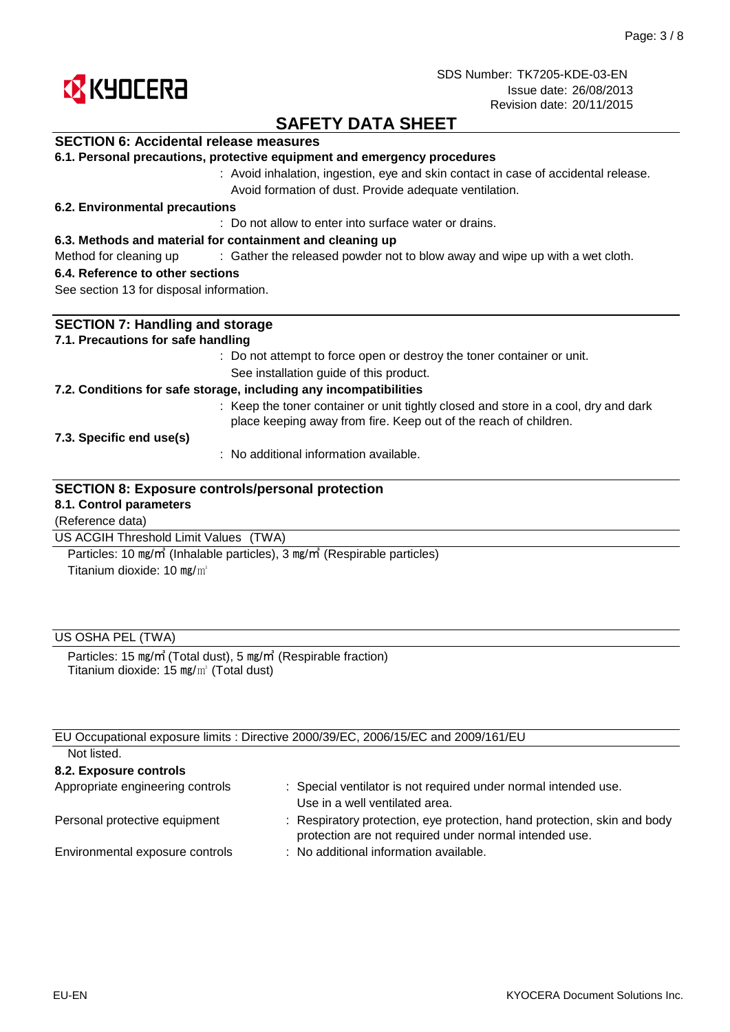

# **SAFETY DATA SHEET**

## **SECTION 6: Accidental release measures**

|  |  |  |  |  |  | 6.1. Personal precautions, protective equipment and emergency procedures |
|--|--|--|--|--|--|--------------------------------------------------------------------------|
|--|--|--|--|--|--|--------------------------------------------------------------------------|

: Avoid inhalation, ingestion, eye and skin contact in case of accidental release. Avoid formation of dust. Provide adequate ventilation.

### **6.2. Environmental precautions**

: Do not allow to enter into surface water or drains.

### **6.3. Methods and material for containment and cleaning up**

Method for cleaning up exclosive of the released powder not to blow away and wipe up with a wet cloth.

#### **6.4. Reference to other sections**

See section 13 for disposal information.

| <b>SECTION 7: Handling and storage</b>                                                                                                                  |  |  |  |
|---------------------------------------------------------------------------------------------------------------------------------------------------------|--|--|--|
| 7.1. Precautions for safe handling                                                                                                                      |  |  |  |
| : Do not attempt to force open or destroy the toner container or unit.                                                                                  |  |  |  |
| See installation guide of this product.                                                                                                                 |  |  |  |
| 7.2. Conditions for safe storage, including any incompatibilities                                                                                       |  |  |  |
| : Keep the toner container or unit tightly closed and store in a cool, dry and dark<br>place keeping away from fire. Keep out of the reach of children. |  |  |  |
| 7.3. Specific end use(s)                                                                                                                                |  |  |  |
| $\therefore$ No additional information available.                                                                                                       |  |  |  |
| <b>SECTION 8: Exposure controls/personal protection</b><br>8.1. Control parameters                                                                      |  |  |  |
| (Reference data)                                                                                                                                        |  |  |  |
| US ACGIH Threshold Limit Values (TWA)                                                                                                                   |  |  |  |

Titanium dioxide: 10 mg/m<sup>3</sup> Particles: 10 ㎎/㎥ (Inhalable particles), 3 ㎎/㎥ (Respirable particles)

### US OSHA PEL (TWA)

Titanium dioxide: 15 ㎎/㎥ (Total dust) Particles: 15 ㎎/㎥ (Total dust), 5 ㎎/㎥ (Respirable fraction)

|                                  | EU Occupational exposure limits : Directive 2000/39/EC, 2006/15/EC and 2009/161/EU                                                 |
|----------------------------------|------------------------------------------------------------------------------------------------------------------------------------|
| Not listed.                      |                                                                                                                                    |
| 8.2. Exposure controls           |                                                                                                                                    |
| Appropriate engineering controls | : Special ventilator is not required under normal intended use.<br>Use in a well ventilated area.                                  |
| Personal protective equipment    | : Respiratory protection, eye protection, hand protection, skin and body<br>protection are not required under normal intended use. |
| Environmental exposure controls  | : No additional information available.                                                                                             |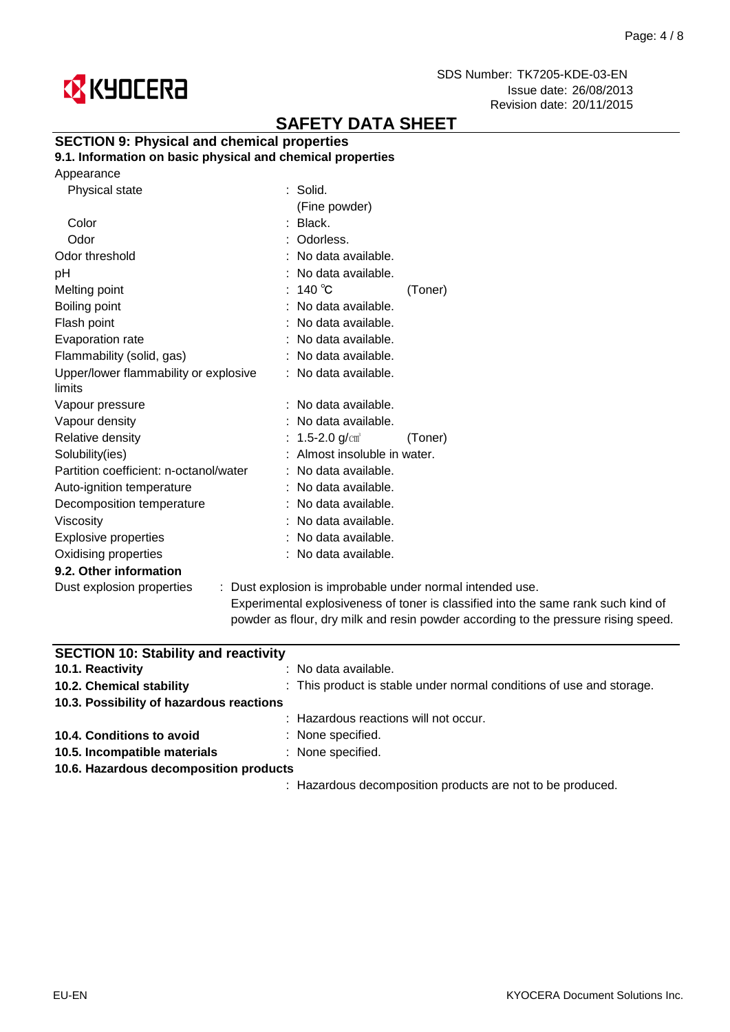

# **SAFETY DATA SHEET**

## **SECTION 9: Physical and chemical properties**

**9.1. Information on basic physical and chemical properties**

| Physical state                         | : Solid.                                                                                                        |  |
|----------------------------------------|-----------------------------------------------------------------------------------------------------------------|--|
|                                        | (Fine powder)                                                                                                   |  |
| Color                                  | : Black.                                                                                                        |  |
| Odor                                   | : Odorless.                                                                                                     |  |
| Odor threshold                         | : No data available.                                                                                            |  |
| рH                                     | : No data available.                                                                                            |  |
| Melting point                          | $:~140\text{ }^{\circ}\text{C}$<br>(Toner)                                                                      |  |
| Boiling point                          | : No data available.                                                                                            |  |
| Flash point                            | : No data available.                                                                                            |  |
| Evaporation rate                       | : No data available.                                                                                            |  |
| Flammability (solid, gas)              | : No data available.                                                                                            |  |
| Upper/lower flammability or explosive  | : No data available.                                                                                            |  |
| limits                                 |                                                                                                                 |  |
| Vapour pressure                        | : No data available.                                                                                            |  |
| Vapour density                         | No data available.                                                                                              |  |
| Relative density                       | : 1.5-2.0 g/cm <sup>3</sup><br>(Toner)                                                                          |  |
| Solubility(ies)                        | Almost insoluble in water.                                                                                      |  |
| Partition coefficient: n-octanol/water | : No data available.                                                                                            |  |
| Auto-ignition temperature              | : No data available.                                                                                            |  |
| Decomposition temperature              | : No data available.                                                                                            |  |
| Viscosity                              | : No data available.                                                                                            |  |
| Explosive properties                   | : No data available.                                                                                            |  |
| Oxidising properties                   | : No data available.                                                                                            |  |
| 9.2. Other information                 |                                                                                                                 |  |
| Dust explosion properties              | : Dust explosion is improbable under normal inter                                                               |  |
|                                        | the contract of the contract of the contract of the contract of the contract of the contract of the contract of |  |

Experimental explosiveness of toner is classified into the same rank such kind of powder as flour, dry milk and resin powder according to the pressure rising speed. nded use.

| <b>SECTION 10: Stability and reactivity</b> |                                                                      |  |  |  |
|---------------------------------------------|----------------------------------------------------------------------|--|--|--|
| 10.1. Reactivity                            | : No data available.                                                 |  |  |  |
| 10.2. Chemical stability                    | : This product is stable under normal conditions of use and storage. |  |  |  |
| 10.3. Possibility of hazardous reactions    |                                                                      |  |  |  |
|                                             | : Hazardous reactions will not occur.                                |  |  |  |
| 10.4. Conditions to avoid                   | : None specified.                                                    |  |  |  |
| 10.5. Incompatible materials                | : None specified.                                                    |  |  |  |
| 10.6. Hazardous decomposition products      |                                                                      |  |  |  |
|                                             | : Hazardous decomposition products are not to be produced.           |  |  |  |
|                                             |                                                                      |  |  |  |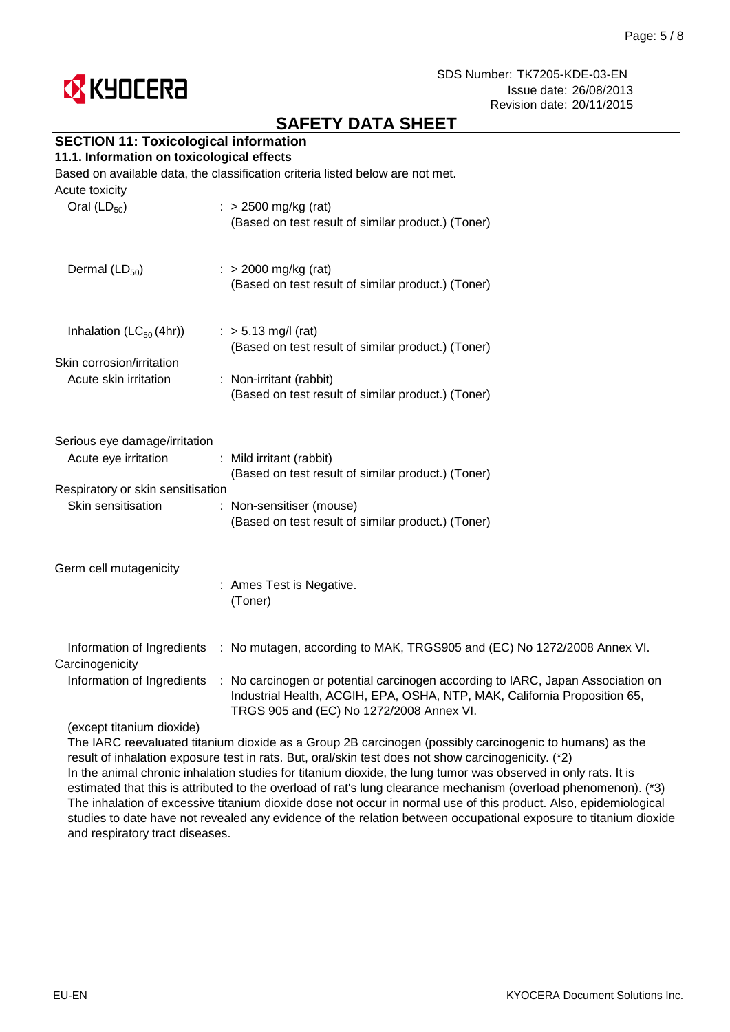

# **SAFETY DATA SHEET**

# **SECTION 11: Toxicological information**

### **11.1. Information on toxicological effects**

Based on available data, the classification criteria listed below are not met.

| Acute toxicity<br>Oral $(LD_{50})$                                                                               | $\therefore$ > 2500 mg/kg (rat)<br>(Based on test result of similar product.) (Toner)                                                                            |
|------------------------------------------------------------------------------------------------------------------|------------------------------------------------------------------------------------------------------------------------------------------------------------------|
| Dermal $(LD_{50})$                                                                                               | $:$ > 2000 mg/kg (rat)<br>(Based on test result of similar product.) (Toner)                                                                                     |
| Inhalation $(LC_{50}(4hr))$<br>Skin corrosion/irritation<br>Acute skin irritation                                | $:$ > 5.13 mg/l (rat)<br>(Based on test result of similar product.) (Toner)<br>: Non-irritant (rabbit)<br>(Based on test result of similar product.) (Toner)     |
| Serious eye damage/irritation<br>Acute eye irritation<br>Respiratory or skin sensitisation<br>Skin sensitisation | : Mild irritant (rabbit)<br>(Based on test result of similar product.) (Toner)<br>: Non-sensitiser (mouse)<br>(Based on test result of similar product.) (Toner) |
| Germ cell mutagenicity                                                                                           | : Ames Test is Negative.<br>(Toner)                                                                                                                              |
| Carcinogenicity                                                                                                  | Information of Ingredients : No mutagen, according to MAK, TRGS905 and (EC) No 1272/2008 Annex VI.                                                               |

: Information of Ingredients No carcinogen or potential carcinogen according to IARC, Japan Association on Industrial Health, ACGIH, EPA, OSHA, NTP, MAK, California Proposition 65, TRGS 905 and (EC) No 1272/2008 Annex VI.

(except titanium dioxide)

The IARC reevaluated titanium dioxide as a Group 2B carcinogen (possibly carcinogenic to humans) as the result of inhalation exposure test in rats. But, oral/skin test does not show carcinogenicity. (\*2) In the animal chronic inhalation studies for titanium dioxide, the lung tumor was observed in only rats. It is estimated that this is attributed to the overload of rat's lung clearance mechanism (overload phenomenon). (\*3) The inhalation of excessive titanium dioxide dose not occur in normal use of this product. Also, epidemiological studies to date have not revealed any evidence of the relation between occupational exposure to titanium dioxide and respiratory tract diseases.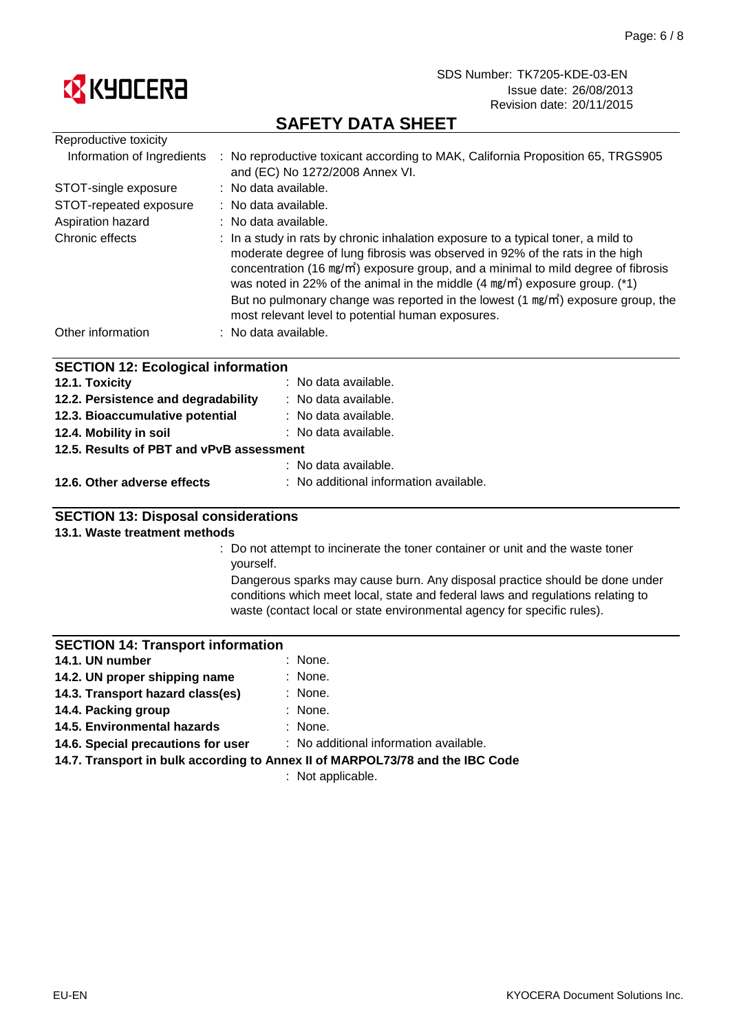

# **SAFETY DATA SHEET**

| Reproductive toxicity                     |                                                                                                                                                                                                                                                                                                                                                                                                                                                                                                      |
|-------------------------------------------|------------------------------------------------------------------------------------------------------------------------------------------------------------------------------------------------------------------------------------------------------------------------------------------------------------------------------------------------------------------------------------------------------------------------------------------------------------------------------------------------------|
|                                           | Information of Ingredients : No reproductive toxicant according to MAK, California Proposition 65, TRGS905<br>and (EC) No 1272/2008 Annex VI.                                                                                                                                                                                                                                                                                                                                                        |
| STOT-single exposure                      | : No data available.                                                                                                                                                                                                                                                                                                                                                                                                                                                                                 |
| STOT-repeated exposure                    | : No data available.                                                                                                                                                                                                                                                                                                                                                                                                                                                                                 |
| Aspiration hazard                         | : No data available.                                                                                                                                                                                                                                                                                                                                                                                                                                                                                 |
| Chronic effects                           | : In a study in rats by chronic inhalation exposure to a typical toner, a mild to<br>moderate degree of lung fibrosis was observed in 92% of the rats in the high<br>concentration (16 $mg/m$ ) exposure group, and a minimal to mild degree of fibrosis<br>was noted in 22% of the animal in the middle $(4 \text{ mg/m}^3)$ exposure group. (*1)<br>But no pulmonary change was reported in the lowest $(1 \text{ mg/m})$ exposure group, the<br>most relevant level to potential human exposures. |
| Other information                         | : No data available.                                                                                                                                                                                                                                                                                                                                                                                                                                                                                 |
| <b>SECTION 12: Ecological information</b> |                                                                                                                                                                                                                                                                                                                                                                                                                                                                                                      |
| 12.1. Toxicity                            | : No data available.                                                                                                                                                                                                                                                                                                                                                                                                                                                                                 |
| 12.2. Persistence and degradability       | : No data available.                                                                                                                                                                                                                                                                                                                                                                                                                                                                                 |
| 12.3. Bioaccumulative potential           | : No data available.                                                                                                                                                                                                                                                                                                                                                                                                                                                                                 |
| 12.4. Mobility in soil                    | : No data available.                                                                                                                                                                                                                                                                                                                                                                                                                                                                                 |
| 12.5. Results of PBT and vPvB assessment  |                                                                                                                                                                                                                                                                                                                                                                                                                                                                                                      |
|                                           | : No data available.                                                                                                                                                                                                                                                                                                                                                                                                                                                                                 |

## **12.6. Other adverse effects** : No additional information available.

## **SECTION 13: Disposal considerations**

### **13.1. Waste treatment methods**

: Do not attempt to incinerate the toner container or unit and the waste toner yourself.

Dangerous sparks may cause burn. Any disposal practice should be done under conditions which meet local, state and federal laws and regulations relating to waste (contact local or state environmental agency for specific rules).

### **SECTION 14: Transport information**

| 14.1. UN number                  | $:$ None. |
|----------------------------------|-----------|
| 14.2. UN proper shipping name    | $:$ None. |
| 14.3. Transport hazard class(es) | $:$ None. |
| 14.4. Packing group              | : None.   |

- **14.4. Packing group**
- : None. **14.5. Environmental hazards**

: No additional information available. **14.6. Special precautions for user**

**14.7. Transport in bulk according to Annex II of MARPOL73/78 and the IBC Code**

: Not applicable.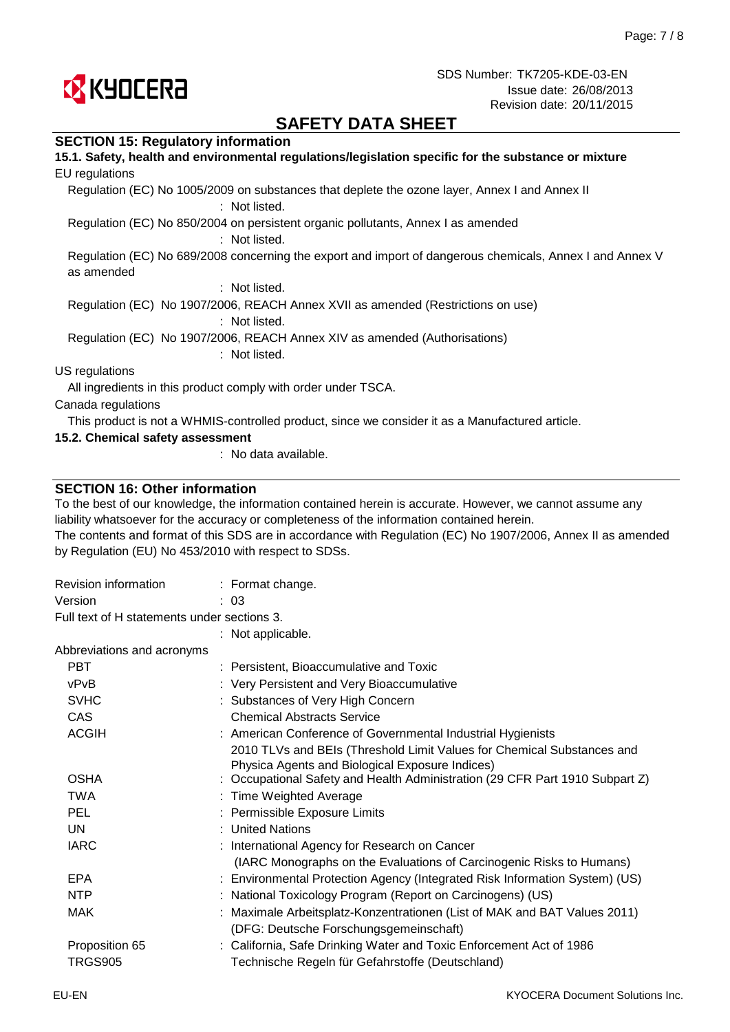

# **SAFETY DATA SHEET**

### **SECTION 15: Regulatory information**

| 15.1. Safety, health and environmental regulations/legislation specific for the substance or mixture                   |
|------------------------------------------------------------------------------------------------------------------------|
| EU regulations                                                                                                         |
| Regulation (EC) No 1005/2009 on substances that deplete the ozone layer, Annex I and Annex II<br>: Not listed.         |
| Regulation (EC) No 850/2004 on persistent organic pollutants, Annex I as amended<br>: Not listed.                      |
| Regulation (EC) No 689/2008 concerning the export and import of dangerous chemicals, Annex I and Annex V<br>as amended |
| : Not listed.                                                                                                          |
| Regulation (EC) No 1907/2006, REACH Annex XVII as amended (Restrictions on use)<br>: Not listed.                       |
| Regulation (EC) No 1907/2006, REACH Annex XIV as amended (Authorisations)<br>: Not listed.                             |
| US regulations                                                                                                         |
| All ingredients in this product comply with order under TSCA.                                                          |
| Canada regulations                                                                                                     |
| This product is not a WHMIS-controlled product, since we consider it as a Manufactured article.                        |
| 15.2. Chemical safety assessment                                                                                       |

: No data available.

### **SECTION 16: Other information**

To the best of our knowledge, the information contained herein is accurate. However, we cannot assume any liability whatsoever for the accuracy or completeness of the information contained herein.

The contents and format of this SDS are in accordance with Regulation (EC) No 1907/2006, Annex II as amended by Regulation (EU) No 453/2010 with respect to SDSs.

| Revision information                        | $:$ Format change.                                                           |
|---------------------------------------------|------------------------------------------------------------------------------|
| Version                                     | : 03                                                                         |
| Full text of H statements under sections 3. |                                                                              |
|                                             | : Not applicable.                                                            |
| Abbreviations and acronyms                  |                                                                              |
| <b>PBT</b>                                  | : Persistent, Bioaccumulative and Toxic                                      |
| vPvB                                        | : Very Persistent and Very Bioaccumulative                                   |
| <b>SVHC</b>                                 | : Substances of Very High Concern                                            |
| CAS                                         | <b>Chemical Abstracts Service</b>                                            |
| <b>ACGIH</b>                                | : American Conference of Governmental Industrial Hygienists                  |
|                                             | 2010 TLVs and BEIs (Threshold Limit Values for Chemical Substances and       |
|                                             | Physica Agents and Biological Exposure Indices)                              |
| <b>OSHA</b>                                 | : Occupational Safety and Health Administration (29 CFR Part 1910 Subpart Z) |
| <b>TWA</b>                                  | : Time Weighted Average                                                      |
| <b>PEL</b>                                  | : Permissible Exposure Limits                                                |
| UN                                          | : United Nations                                                             |
| <b>IARC</b>                                 | : International Agency for Research on Cancer                                |
|                                             | (IARC Monographs on the Evaluations of Carcinogenic Risks to Humans)         |
| <b>EPA</b>                                  | : Environmental Protection Agency (Integrated Risk Information System) (US)  |
| <b>NTP</b>                                  | : National Toxicology Program (Report on Carcinogens) (US)                   |
| MAK                                         | : Maximale Arbeitsplatz-Konzentrationen (List of MAK and BAT Values 2011)    |
|                                             | (DFG: Deutsche Forschungsgemeinschaft)                                       |
| Proposition 65                              | : California, Safe Drinking Water and Toxic Enforcement Act of 1986          |
| <b>TRGS905</b>                              | Technische Regeln für Gefahrstoffe (Deutschland)                             |